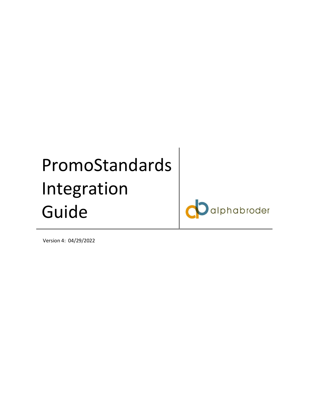# PromoStandards Integration Guide

alphabroder

Version 4: 04/29/2022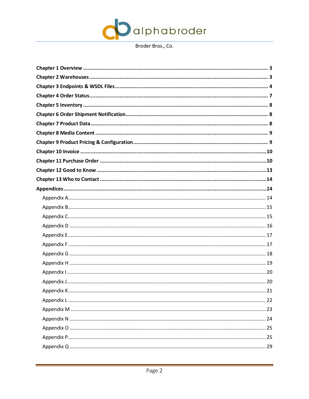

<span id="page-1-0"></span>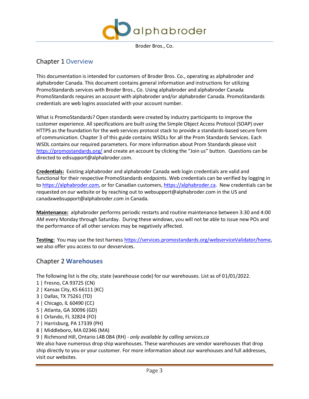

# Chapter 1 Overview

This documentation is intended for customers of Broder Bros. Co., operating as alphabroder and alphabroder Canada. This document contains general information and instructions for utilizing PromoStandards services with Broder Bros., Co. Using alphabroder and alphabroder Canada PromoStandards requires an account with alphabroder and/or alphabroder Canada. PromoStandards credentials are web logins associated with your account number.

What is PromoStandards? Open standards were created by industry participants to improve the customer experience. All specifications are built using the Simple Object Access Protocol (SOAP) over HTTPS as the foundation for the web services protocol stack to provide a standards-based secure form of communication. Chapter 3 of this guide contains WSDLs for all the Prom Standards Services. Each WSDL contains our required parameters. For more information about Prom Standards please visit <https://promostandards.org/> and create an account by clicking the "Join us" button. Questions can be directed to [edisupport@alphabroder.com.](mailto:edisupport@alphabroder.com)

**Credentials:** Existing alphabroder and alphabroder Canada web login credentials are valid and functional for their respective PromoStandards endpoints. Web credentials can be verified by logging in to [https://alphabroder.com,](https://alphabroder.com/) or for Canadian customers[, https://alphabroder.ca.](https://alphabroder.ca/) New credentials can be requested on our website or by reaching out t[o websupport@alphabroder.com](mailto:websupport@alphabroder.com) in the US and [canadawebsupport@alphabroder.com](mailto:canadawebsupport@alphabroder.com) in Canada.

**Maintenance:** alphabroder performs periodic restarts and routine maintenance between 3:30 and 4:00 AM every Monday through Saturday. During these windows, you will not be able to issue new POs and the performance of all other services may be negatively affected.

**Testing:** You may use the test harness [https://services.promostandards.org/webserviceValidator/home,](https://services.promostandards.org/webserviceValidator/home) we also offer you access to our devservices.

## <span id="page-2-0"></span>Chapter 2 **Warehouses**

The following list is the city, state (warehouse code) for our warehouses. List as of 01/01/2022.

- 1 | Fresno, CA 93725 (CN)
- 2 | Kansas City, KS 66111 (KC)
- 3 | Dallas, TX 75261 (TD)
- 4 | Chicago, IL 60490 (CC)
- 5 | Atlanta, GA 30096 (GD)
- 6 | Orlando, FL 32824 (FO)
- 7 | Harrisburg, PA 17339 (PH)
- 8 | Middleboro, MA 02346 (MA)
- 9 | Richmond Hill, Ontario L4B 0B4 (RH) *only available by calling services.ca*

We also have numerous drop ship warehouses. These warehouses are vendor warehouses that drop ship directly to you or your customer. For more information about our warehouses and full addresses, visit our websites.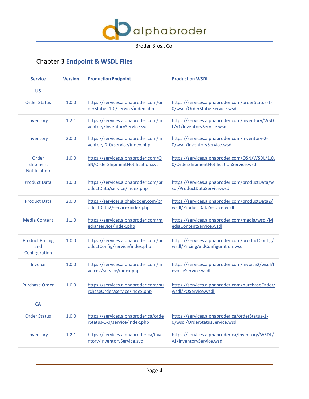

# <span id="page-3-0"></span>Chapter 3 **Endpoint & WSDL Files**

| <b>Service</b><br><b>Production WSDL</b><br><b>Production Endpoint</b><br><b>Version</b> |                                                                               |                                                                        |                                                                                           |  |
|------------------------------------------------------------------------------------------|-------------------------------------------------------------------------------|------------------------------------------------------------------------|-------------------------------------------------------------------------------------------|--|
| <b>US</b>                                                                                |                                                                               |                                                                        |                                                                                           |  |
| <b>Order Status</b>                                                                      | 1.0.0                                                                         | https://services.alphabroder.com/or<br>derStatus-1-0/service/index.php | https://services.alphabroder.com/orderStatus-1-<br>0/wsdl/OrderStatusService.wsdl         |  |
| Inventory                                                                                | 1.2.1                                                                         | https://services.alphabroder.com/in<br>ventory/InventoryService.svc    | https://services.alphabroder.com/inventory/WSD<br>L/v1/InventoryService.wsdl              |  |
| Inventory                                                                                | https://services.alphabroder.com/in<br>2.0.0<br>ventory-2-0/service/index.php |                                                                        | https://services.alphabroder.com/inventory-2-<br>0/wsdl/InventoryService.wsdl             |  |
| Order<br>Shipment<br>Notification                                                        | 1.0.0                                                                         | https://services.alphabroder.com/O<br>SN/OrderShipmentNotification.svc | https://services.alphabroder.com/OSN/WSDL/1.0.<br>0/OrderShipmentNotificationService.wsdl |  |
| <b>Product Data</b>                                                                      | 1.0.0                                                                         | https://services.alphabroder.com/pr<br>oductData/service/index.php     | https://services.alphabroder.com/productData/w<br>sdl/ProductDataService.wsdl             |  |
| <b>Product Data</b>                                                                      | 2.0.0                                                                         | https://services.alphabroder.com/pr<br>oductData2/service/index.php    | https://services.alphabroder.com/productData2/<br>wsdl/ProductDataService.wsdl            |  |
| <b>Media Content</b>                                                                     | 1.1.0                                                                         | https://services.alphabroder.com/m<br>edia/service/index.php           | https://services.alphabroder.com/media/wsdl/M<br>ediaContentService.wsdl                  |  |
| <b>Product Pricing</b><br>and<br>Configuration                                           | 1.0.0                                                                         | https://services.alphabroder.com/pr<br>oductConfig/service/index.php   | https://services.alphabroder.com/productConfig/<br>wsdl/PricingAndConfiguration.wsdl      |  |
| Invoice                                                                                  | 1.0.0                                                                         | https://services.alphabroder.com/in<br>voice2/service/index.php        | https://services.alphabroder.com/invoice2/wsdl/l<br>nvoiceService.wsdl                    |  |
| <b>Purchase Order</b>                                                                    | 1.0.0                                                                         | https://services.alphabroder.com/pu<br>rchaseOrder/service/index.php   | https://services.alphabroder.com/purchaseOrder/<br>wsdl/POService.wsdl                    |  |
| <b>CA</b>                                                                                |                                                                               |                                                                        |                                                                                           |  |
| <b>Order Status</b>                                                                      | 1.0.0                                                                         | https://services.alphabroder.ca/orde<br>rStatus-1-0/service/index.php  | https://services.alphabroder.ca/orderStatus-1-<br>0/wsdl/OrderStatusService.wsdl          |  |
| Inventory                                                                                | 1.2.1                                                                         | https://services.alphabroder.ca/inve<br>ntory/InventoryService.svc     | https://services.alphabroder.ca/inventory/WSDL/<br>v1/InventoryService.wsdl               |  |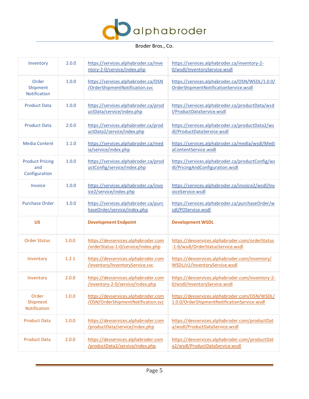

| Inventory                                      | 2.0.0 | https://services.alphabroder.ca/inve<br>ntory-2-0/service/index.php       | https://services.alphabroder.ca/inventory-2-<br>0/wsdl/InventoryService.wsdl                 |
|------------------------------------------------|-------|---------------------------------------------------------------------------|----------------------------------------------------------------------------------------------|
| Order<br>Shipment<br>Notification              | 1.0.0 | https://services.alphabroder.ca/OSN<br>/OrderShipmentNotification.svc     | https://services.alphabroder.ca/OSN/WSDL/1.0.0/<br>OrderShipmentNotificationService.wsdl     |
| <b>Product Data</b>                            | 1.0.0 | https://services.alphabroder.ca/prod<br>uctData/service/index.php         | https://services.alphabroder.ca/productData/wsd<br>l/ProductDataService.wsdl                 |
| <b>Product Data</b>                            | 2.0.0 | https://services.alphabroder.ca/prod<br>uctData2/service/index.php        | https://services.alphabroder.ca/productData2/ws<br>dl/ProductDataService.wsdl                |
| <b>Media Content</b>                           | 1.1.0 | https://services.alphabroder.ca/med<br>ia/service/index.php               | https://services.alphabroder.ca/media/wsdl/Medi<br>aContentService.wsdl                      |
| <b>Product Pricing</b><br>and<br>Configuration | 1.0.0 | https://services.alphabroder.ca/prod<br>uctConfig/service/index.php       | https://services.alphabroder.ca/productConfig/ws<br>dl/PricingAndConfiguration.wsdl          |
| Invoice                                        | 1.0.0 | https://services.alphabroder.ca/invo<br>ice2/service/index.php            | https://services.alphabroder.ca/invoice2/wsdl/Inv<br>oiceService.wsdl                        |
| <b>Purchase Order</b>                          | 1.0.0 | https://services.alphabroder.ca/purc                                      | https://services.alphabroder.ca/purchaseOrder/w                                              |
|                                                |       | haseOrder/service/index.php                                               | sdl/POService.wsdl                                                                           |
| <b>US</b>                                      |       | <b>Development Endpoint</b>                                               | <b>Development WSDL</b>                                                                      |
| <b>Order Status</b>                            | 1.0.0 | https://devservices.alphabroder.com<br>/orderStatus-1-0/service/index.php | https://devservices.alphabroder.com/orderStatus<br>-1-0/wsdl/OrderStatusService.wsdl         |
| Inventory                                      | 1.2.1 | https://devservices.alphabroder.com<br>/inventory/InventoryService.svc    | https://devservices.alphabroder.com/inventory/<br>WSDL/v1/InventoryService.wsdl              |
| Inventory                                      | 2.0.0 | https://devservices.alphabroder.com<br>/inventory-2-0/service/index.php   | https://devservices.alphabroder.com/inventory-2-<br>0/wsdl/InventoryService.wsdl             |
| Order<br>Shipment<br>Notification              | 1.0.0 | https://devservices.alphabroder.com<br>/OSN/OrderShipmentNotification.svc | https://devservices.alphabroder.com/OSN/WSDL/<br>1.0.0/OrderShipmentNotificationService.wsdl |
| <b>Product Data</b>                            | 1.0.0 | https://devservices.alphabroder.com<br>/productData/service/index.php     | https://devservices.alphabroder.com/productDat<br>a/wsdl/ProductDataService.wsdl             |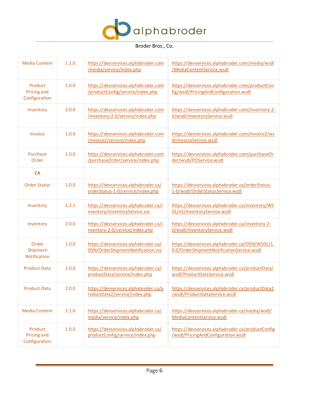

| <b>Media Content</b>                           | 1.1.0 | https://devservices.alphabroder.com<br>/media/service/index.php          | https://devservices.alphabroder.com/media/wsdl<br>/MediaContentService.wsdl                 |
|------------------------------------------------|-------|--------------------------------------------------------------------------|---------------------------------------------------------------------------------------------|
| Product<br><b>Pricing and</b><br>Configuration | 1.0.0 | https://devservices.alphabroder.com<br>/productConfig/service/index.php  | https://devservices.alphabroder.com/productCon<br>fig/wsdl/PricingAndConfiguration.wsdl     |
| Inventory                                      | 2.0.0 | https://devservices.alphabroder.com<br>/inventory-2-0/service/index.php  | https://devservices.alphabroder.com/inventory-2-<br>0/wsdl/InventoryService.wsdl            |
| Invoice                                        | 1.0.0 | https://devservices.alphabroder.com<br>/invoice2/service/index.php       | https://devservices.alphabroder.com/invoice2/ws<br>dl/InvoiceService.wsdl                   |
| Purchase<br>Order                              | 1.0.0 | https://devservices.alphabroder.com<br>/purchaseOrder/service/index.php  | https://devservices.alphabroder.com/purchaseOr<br>der/wsdl/POService.wsdl                   |
| <b>CA</b>                                      |       |                                                                          |                                                                                             |
| <b>Order Status</b>                            | 1.0.0 | https://devservices.alphabroder.ca/<br>orderStatus-1-0/service/index.php | https://devservices.alphabroder.ca/orderStatus-<br>1-0/wsdl/OrderStatusService.wsdl         |
| Inventory                                      | 1.2.1 | https://devservices.alphabroder.ca/i<br>nventory/InventoryService.svc    | https://devservices.alphabroder.ca/inventory/WS<br>DL/v1/InventoryService.wsdl              |
| Inventory                                      | 2.0.0 | https://devservices.alphabroder.ca/i<br>nventory-2-0/service/index.php   | https://devservices.alphabroder.ca/inventory-2-<br>0/wsdl/InventoryService.wsdl             |
| Order<br>Shipment<br>Notification              | 1.0.0 | https://devservices.alphabroder.ca/<br>OSN/OrderShipmentNotification.svc | https://devservices.alphabroder.ca/OSN/WSDL/1.<br>0.0/OrderShipmentNotificationService.wsdl |
| <b>Product Data</b>                            | 1.0.0 | https://devservices.alphabroder.ca/<br>productData/service/index.php     | https://devservices.alphabroder.ca/productData/<br>wsdl/ProductDataService.wsdl             |
| <b>Product Data</b>                            | 2.0.0 | https://devservices.alphabroder.ca/p<br>roductData2/service/index.php    | https://devservices.alphabroder.ca/productData2<br>/wsdl/ProductDataService.wsdl            |
| <b>Media Content</b>                           | 1.1.0 | https://devservices.alphabroder.ca/<br>media/service/index.php           | https://devservices.alphabroder.ca/media/wsdl/<br>MediaContentService.wsdl                  |
| Product<br><b>Pricing and</b><br>Configuration | 1.0.0 | https://devservices.alphabroder.ca/<br>productConfig/service/index.php   | https://devservices.alphabroder.ca/productConfig<br>/wsdl/PricingAndConfiguration.wsdl      |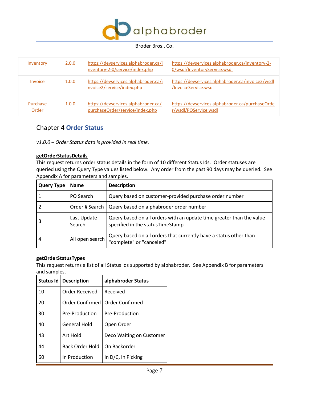

| Inventory         | 2.0.0 | https://devservices.alphabroder.ca/i<br>nventory-2-0/service/index.php | https://devservices.alphabroder.ca/inventory-2-<br>0/wsdl/InventoryService.wsdl |
|-------------------|-------|------------------------------------------------------------------------|---------------------------------------------------------------------------------|
| Invoice           | 1.0.0 | https://devservices.alphabroder.ca/i<br>nvoice2/service/index.php      | https://devservices.alphabroder.ca/invoice2/wsdl<br>/InvoiceService.wsdl        |
| Purchase<br>Order | 1.0.0 | https://devservices.alphabroder.ca/<br>purchaseOrder/service/index.php | https://devservices.alphabroder.ca/purchaseOrde<br>r/wsdl/POService.wsdl        |

## <span id="page-6-0"></span>Chapter 4 **Order Status**

*v1.0.0 – Order Status data is provided in real time.*

## **getOrderStatusDetails**

This request returns order status details in the form of 10 different Status Ids. Order statuses are queried using the Query Type values listed below. Any order from the past 90 days may be queried. See Appendix A for parameters and samples.

| <b>Query Type</b> | <b>Name</b>           | <b>Description</b>                                                                                       |
|-------------------|-----------------------|----------------------------------------------------------------------------------------------------------|
|                   | PO Search             | Query based on customer-provided purchase order number                                                   |
|                   | Order # Search        | Query based on alphabroder order number                                                                  |
|                   | Last Update<br>Search | Query based on all orders with an update time greater than the value<br>specified in the statusTimeStamp |
| 4                 | All open search       | Query based on all orders that currently have a status other than<br>"complete" or "canceled"            |

## **getOrderStatusTypes**

This request returns a list of all Status Ids supported by alphabroder. See Appendix B for parameters and samples.

| Status Id | <b>Description</b>     | alphabroder Status       |
|-----------|------------------------|--------------------------|
| 10        | Order Received         | Received                 |
| 20        | Order Confirmed        | Order Confirmed          |
| 30        | Pre-Production         | Pre-Production           |
| 40        | General Hold           | Open Order               |
| 43        | Art Hold               | Deco Waiting on Customer |
| 44        | <b>Back Order Hold</b> | On Backorder             |
| 60        | In Production          | In D/C, In Picking       |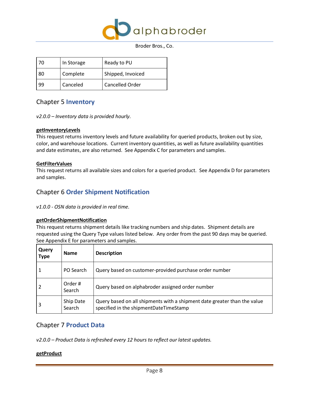

| 70 | In Storage | Ready to PU       |
|----|------------|-------------------|
| 80 | Complete   | Shipped, Invoiced |
| 99 | Canceled   | Cancelled Order   |

## <span id="page-7-0"></span>Chapter 5 **Inventory**

*v2.0.0 – Inventory data is provided hourly.*

## **getInventoryLevels**

This request returns inventory levels and future availability for queried products, broken out by size, color, and warehouse locations. Current inventory quantities, as well as future availability quantities and date estimates, are also returned. See Appendix C for parameters and samples.

## **GetFilterValues**

This request returns all available sizes and colors for a queried product. See Appendix D for parameters and samples.

## <span id="page-7-1"></span>Chapter 6 **Order Shipment Notification**

## *v1.0.0 - OSN data is provided in real time.*

## **getOrderShipmentNotification**

This request returns shipment details like tracking numbers and ship dates. Shipment details are requested using the Query Type values listed below. Any order from the past 90 days may be queried. See Appendix E for parameters and samples.

| Query<br><b>Type</b> | <b>Name</b>         | <b>Description</b>                                                                                                 |
|----------------------|---------------------|--------------------------------------------------------------------------------------------------------------------|
|                      | PO Search           | Query based on customer-provided purchase order number                                                             |
|                      | Order#<br>Search    | Query based on alphabroder assigned order number                                                                   |
| 3                    | Ship Date<br>Search | Query based on all shipments with a shipment date greater than the value<br>specified in the shipmentDateTimeStamp |

## <span id="page-7-2"></span>Chapter 7 **Product Data**

*v2.0.0 – Product Data is refreshed every 12 hours to reflect our latest updates.*

## **getProduct**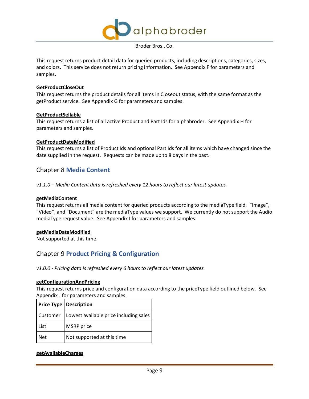

This request returns product detail data for queried products, including descriptions, categories, sizes, and colors. This service does not return pricing information. See Appendix F for parameters and samples.

## **GetProductCloseOut**

This request returns the product details for all items in Closeout status, with the same format as the getProduct service. See Appendix G for parameters and samples.

#### **GetProductSellable**

This request returns a list of all active Product and Part Ids for alphabroder. See Appendix H for parameters and samples.

#### **GetProductDateModified**

This request returns a list of Product Ids and optional Part Ids for all items which have changed since the date supplied in the request. Requests can be made up to 8 days in the past.

## <span id="page-8-0"></span>Chapter 8 **Media Content**

*v1.1.0 – Media Content data is refreshed every 12 hours to reflect our latest updates.*

#### **getMediaContent**

This request returns all media content for queried products according to the mediaType field. "Image", "Video", and "Document" are the mediaType values we support. We currently do not support the Audio mediaType request value. See Appendix I for parameters and samples.

## **getMediaDateModified**

<span id="page-8-1"></span>Not supported at this time.

## Chapter 9 **Product Pricing & Configuration**

*v1.0.0 - Pricing data is refreshed every 6 hours to reflect our latest updates.*

#### **getConfigurationAndPricing**

This request returns price and configuration data according to the priceType field outlined below. See Appendix J for parameters and samples.

|            | <b>Price Type   Description</b>                   |
|------------|---------------------------------------------------|
|            | Customer   Lowest available price including sales |
| List       | <b>MSRP</b> price                                 |
| <b>Net</b> | Not supported at this time                        |

## **getAvailableCharges**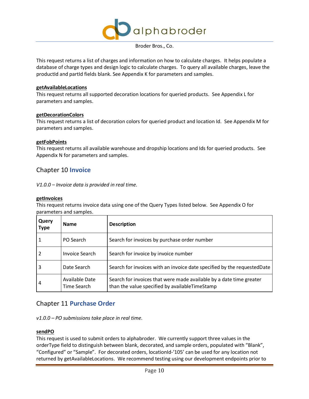

This request returns a list of charges and information on how to calculate charges. It helps populate a database of charge types and design logic to calculate charges. To query all available charges, leave the productId and partId fields blank. See Appendix K for parameters and samples.

#### **getAvailableLocations**

This request returns all supported decoration locations for queried products. See Appendix L for parameters and samples.

#### **getDecorationColors**

This request returns a list of decoration colors for queried product and location Id. See Appendix M for parameters and samples.

#### **getFobPoints**

This request returns all available warehouse and dropship locations and Ids for queried products. See Appendix N for parameters and samples.

## <span id="page-9-0"></span>Chapter 10 **Invoice**

*V1.0.0 – Invoice data is provided in real time.*

#### **getInvoices**

This request returns invoice data using one of the Query Types listed below. See Appendix O for parameters and samples.

| Query<br><b>Type</b> | <b>Name</b>                   | <b>Description</b>                                                                                                    |
|----------------------|-------------------------------|-----------------------------------------------------------------------------------------------------------------------|
|                      | PO Search                     | Search for invoices by purchase order number                                                                          |
|                      | <b>Invoice Search</b>         | Search for invoice by invoice number                                                                                  |
| 3                    | Date Search                   | Search for invoices with an invoice date specified by the requested Date                                              |
| 4                    | Available Date<br>Time Search | Search for invoices that were made available by a date time greater<br>than the value specified by availableTimeStamp |

## <span id="page-9-1"></span>Chapter 11 **Purchase Order**

*v1.0.0 – PO submissions take place in real time.*

## **sendPO**

This request is used to submit orders to alphabroder. We currently support three values in the orderType field to distinguish between blank, decorated, and sample orders, populated with "Blank", "Configured" or "Sample". For decorated orders, locationId-'105' can be used for any location not returned by getAvailableLocations. We recommend testing using our development endpoints prior to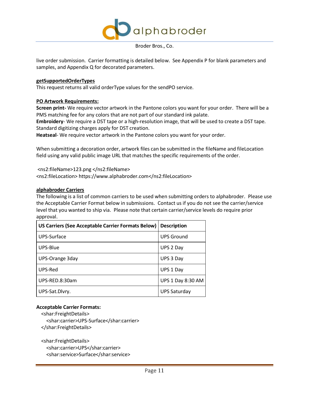

live order submission. Carrier formatting is detailed below. See Appendix P for blank parameters and samples, and Appendix Q for decorated parameters.

#### **getSupportedOrderTypes**

This request returns all valid orderType values for the sendPO service.

#### **PO Artwork Requirements:**

**Screen print-** We require vector artwork in the Pantone colors you want for your order. There will be a PMS matching fee for any colors that are not part of our standard ink palate.

**Embroidery**- We require a DST tape or a high-resolution image, that will be used to create a DST tape. Standard digitizing charges apply for DST creation.

**Heatseal**- We require vector artwork in the Pantone colors you want for your order.

When submitting a decoration order, artwork files can be submitted in the fileName and fileLocation field using any valid public image URL that matches the specific requirements of the order.

<ns2:fileName>123.png </ns2:fileName> <ns2:fileLocation> https://www.alphabroder.com</ns2:fileLocation>

#### **alphabroder Carriers**

The following is a list of common carriers to be used when submitting orders to alphabroder. Please use the Acceptable Carrier Format below in submissions. Contact us if you do not see the carrier/service level that you wanted to ship via. Please note that certain carrier/service levels do require prior approval.

| US Carriers (See Acceptable Carrier Formats Below) | <b>Description</b>       |
|----------------------------------------------------|--------------------------|
| UPS-Surface                                        | <b>UPS Ground</b>        |
| UPS-Blue                                           | UPS 2 Day                |
| UPS-Orange 3day                                    | UPS 3 Day                |
| UPS-Red                                            | UPS 1 Day                |
| UPS-RED.8:30am                                     | <b>UPS 1 Day 8:30 AM</b> |
| UPS-Sat.Dlvry.                                     | UPS Saturday             |

## **Acceptable Carrier Formats:**

<shar:FreightDetails>

 <shar:carrier>UPS-Surface</shar:carrier> </shar:FreightDetails>

 <shar:FreightDetails> <shar:carrier>UPS</shar:carrier>

<shar:service>Surface</shar:service>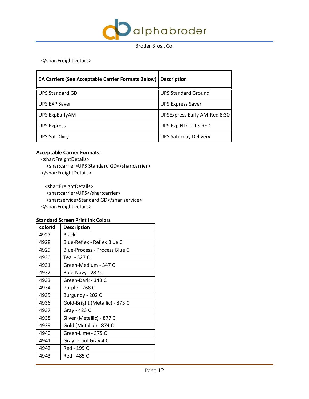

</shar:FreightDetails>

| CA Carriers (See Acceptable Carrier Formats Below)   Description |                                     |
|------------------------------------------------------------------|-------------------------------------|
| <b>UPS Standard GD</b>                                           | <b>UPS Standard Ground</b>          |
| <b>UPS EXP Saver</b>                                             | <b>UPS Express Saver</b>            |
| UPS ExpEarlyAM                                                   | <b>UPSExpress Early AM-Red 8:30</b> |
| <b>UPS Express</b>                                               | UPS Exp ND - UPS RED                |
| <b>UPS Sat Divry</b>                                             | <b>UPS Saturday Delivery</b>        |

## **Acceptable Carrier Formats:**

- <shar:FreightDetails>
- <shar:carrier>UPS Standard GD</shar:carrier>
- </shar:FreightDetails>

 <shar:FreightDetails> <shar:carrier>UPS</shar:carrier> <shar:service>Standard GD</shar:service> </shar:FreightDetails>

## **Standard Screen Print Ink Colors**

| colorid | <b>Description</b>             |
|---------|--------------------------------|
| 4927    | Black                          |
| 4928    | Blue-Reflex - Reflex Blue C    |
| 4929    | Blue-Process - Process Blue C  |
| 4930    | Teal - 327 C                   |
| 4931    | Green-Medium - 347 C           |
| 4932    | Blue-Navy - 282 C              |
| 4933    | Green-Dark - 343 C             |
| 4934    | Purple - 268 C                 |
| 4935    | Burgundy - 202 C               |
| 4936    | Gold-Bright (Metallic) - 873 C |
| 4937    | Gray - 423 C                   |
| 4938    | Silver (Metallic) - 877 C      |
| 4939    | Gold (Metallic) - 874 C        |
| 4940    | Green-Lime - 375 C             |
| 4941    | Gray - Cool Gray 4 C           |
| 4942    | Red - 199 C                    |
| 4943    | Red - 485 C                    |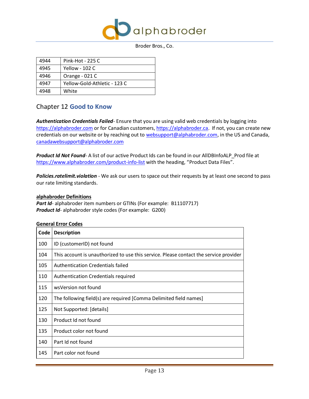

| 4944 | Pink-Hot - 225 C             |
|------|------------------------------|
| 4945 | Yellow - 102 C               |
| 4946 | Orange - 021 C               |
| 4947 | Yellow-Gold-Athletic - 123 C |
| 4948 | White                        |

## <span id="page-12-0"></span>Chapter 12 **Good to Know**

*Authentication Credentials Failed-* Ensure that you are using valid web credentials by logging into [https://alphabroder.com](https://alphabroder.com/) or for Canadian customers, [https://alphabroder.ca.](https://alphabroder.ca/) If not, you can create new credentials on our website or by reaching out to [websupport@alphabroder.com,](mailto:websupport@alphabroder.com) in the US and Canada, [canadawebsupport@alphabroder.com](mailto:canadawebsupport@alphabroder.com)

*Product Id Not Found*- A list of our active Product Ids can be found in our AllDBInfoALP\_Prod file at <https://www.alphabroder.com/product-info-list> with the heading, "Product Data Files".

*Policies.ratelimit.violation -* We ask our users to space out their requests by at least one second to pass our rate limiting standards.

## **alphabroder Definitions**

Part Id- alphabroder item numbers or GTINs (For example: B11107717) *Product Id*- alphabroder style codes (For example: G200)

## **General Error Codes**

| Code | <b>Description</b>                                                                    |
|------|---------------------------------------------------------------------------------------|
| 100  | ID (customerID) not found                                                             |
| 104  | This account is unauthorized to use this service. Please contact the service provider |
| 105  | Authentication Credentials failed                                                     |
| 110  | <b>Authentication Credentials required</b>                                            |
| 115  | wsVersion not found                                                                   |
| 120  | The following field(s) are required [Comma Delimited field names]                     |
| 125  | Not Supported: [details]                                                              |
| 130  | Product Id not found                                                                  |
| 135  | Product color not found                                                               |
| 140  | Part Id not found                                                                     |
| 145  | Part color not found                                                                  |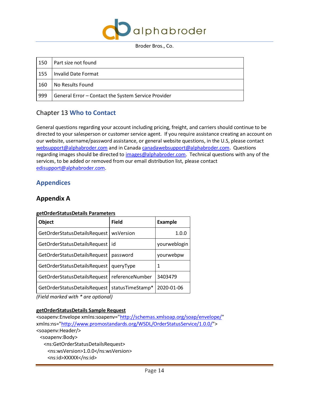

| 150 | Part size not found                                 |
|-----|-----------------------------------------------------|
| 155 | Invalid Date Format                                 |
| 160 | No Results Found                                    |
| 999 | General Error - Contact the System Service Provider |

## <span id="page-13-0"></span>Chapter 13 **Who to Contact**

General questions regarding your account including pricing, freight, and carriers should continue to be directed to your salesperson or customer service agent. If you require assistance creating an account on our website, username/password assistance, or general website questions, in the U.S, please contact [websupport@alphabroder.com](mailto:websupport@alphabroder.com) and in Canad[a canadawebsupport@alphabroder.com.](mailto:canadawebsupport@alphabroder.com) Questions regarding images should be directed to [images@alphabroder.com.](mailto:images@alphabroder.com) Technical questions with any of the services, to be added or removed from our email distribution list, please contact [edisupport@alphabroder.com.](mailto:edisupport@alphabroder.com)

## <span id="page-13-1"></span>**Appendices**

## <span id="page-13-2"></span>**Appendix A**

## **getOrderStatusDetails Parameters**

| <b>Object</b>                | <b>Field</b>     | <b>Example</b> |
|------------------------------|------------------|----------------|
| GetOrderStatusDetailsRequest | wsVersion        | 1.0.0          |
| GetOrderStatusDetailsRequest | id               | yourweblogin   |
| GetOrderStatusDetailsRequest | password         | yourwebpw      |
| GetOrderStatusDetailsRequest | queryType        | 1              |
| GetOrderStatusDetailsRequest | referenceNumber  | 3403479        |
| GetOrderStatusDetailsRequest | statusTimeStamp* | 2020-01-06     |

*(Field marked with \* are optional)*

## **getOrderStatusDetails Sample Request**

<soapenv:Envelope xmlns:soapenv=["http://schemas.xmlsoap.org/soap/envelope/"](http://schemas.xmlsoap.org/soap/envelope/) xmlns:ns=["http://www.promostandards.org/WSDL/OrderStatusService/1.0.0/"](http://www.promostandards.org/WSDL/OrderStatusService/1.0.0/)> <soapenv:Header/> <soapenv:Body> <ns:GetOrderStatusDetailsRequest> <ns:wsVersion>1.0.0</ns:wsVersion> <ns:id>XXXXX</ns:id>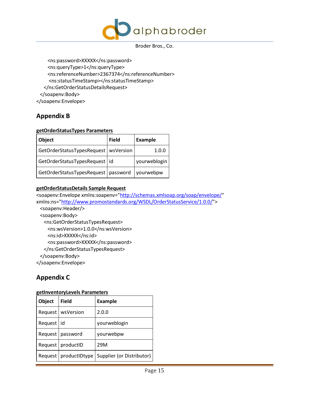

 <ns:password>XXXXX</ns:password> <ns:queryType>1</ns:queryType> <ns:referenceNumber>2367374</ns:referenceNumber> <ns:statusTimeStamp></ns:statusTimeStamp> </ns:GetOrderStatusDetailsRequest> </soapenv:Body> </soapenv:Envelope>

# <span id="page-14-0"></span>**Appendix B**

## **getOrderStatusTypes Parameters**

| <b>Object</b>                                     | <b>Field</b> | Example      |
|---------------------------------------------------|--------------|--------------|
| GetOrderStatusTypesRequest   wsVersion            |              | 1.0.0        |
| GetOrderStatusTypesRequest   id                   |              | yourweblogin |
| GetOrderStatusTypesRequest   password   yourwebpw |              |              |

## **getOrderStatusDetails Sample Request**

<soapenv:Envelope xmlns:soapenv=["http://schemas.xmlsoap.org/soap/envelope/"](http://schemas.xmlsoap.org/soap/envelope/) xmlns:ns=["http://www.promostandards.org/WSDL/OrderStatusService/1.0.0/"](http://www.promostandards.org/WSDL/OrderStatusService/1.0.0/)> <soapenv:Header/> <soapenv:Body> <ns:GetOrderStatusTypesRequest> <ns:wsVersion>1.0.0</ns:wsVersion> <ns:id>XXXXX</ns:id> <ns:password>XXXXX</ns:password> </ns:GetOrderStatusTypesRequest> </soapenv:Body> </soapenv:Envelope>

# <span id="page-14-1"></span>**Appendix C**

## **getInventoryLevels Parameters**

| <b>Object</b> | <b>Field</b>            | <b>Example</b>            |
|---------------|-------------------------|---------------------------|
|               | Request   wsVersion     | 2.0.0                     |
| Request   id  |                         | yourweblogin              |
| Request       | password                | yourwebpw                 |
| Request       | productID               | 29M                       |
|               | Request   productIDtype | Supplier (or Distributor) |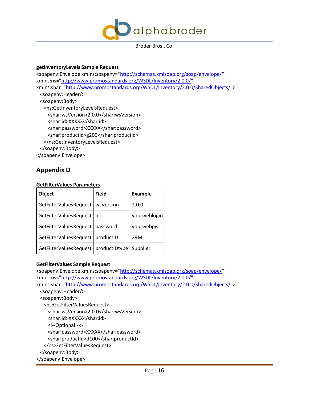

#### **getInventoryLevels Sample Request**

<soapenv:Envelope xmlns:soapenv=["http://schemas.xmlsoap.org/soap/envelope/"](http://schemas.xmlsoap.org/soap/envelope/) xmlns:ns=["http://www.promostandards.org/WSDL/Inventory/2.0.0/"](http://www.promostandards.org/WSDL/Inventory/2.0.0/) xmlns:shar=["http://www.promostandards.org/WSDL/Inventory/2.0.0/SharedObjects/"](http://www.promostandards.org/WSDL/Inventory/2.0.0/SharedObjects/)> <soapenv:Header/> <soapenv:Body> <ns:GetInventoryLevelsRequest> <shar:wsVersion>2.0.0</shar:wsVersion> <shar:id>XXXXX</shar:id> <shar:password>XXXXX</shar:password> <shar:productId>g200</shar:productId> </ns:GetInventoryLevelsRequest> </soapenv:Body> </soapenv:Envelope>

## <span id="page-15-0"></span>**Appendix D**

#### **GetFilterValues Parameters**

| <b>Object</b>          | <b>Field</b>  | <b>Example</b> |
|------------------------|---------------|----------------|
| GetFilterValuesRequest | wsVersion     | 2.0.0          |
| GetFilterValuesRequest | id            | yourweblogin   |
| GetFilterValuesRequest | password      | yourwebpw      |
| GetFilterValuesRequest | productID     | 29M            |
| GetFilterValuesRequest | productIDtype | Supplier       |

## **GetFilterValues Sample Request**

<soapenv:Envelope xmlns:soapenv=["http://schemas.xmlsoap.org/soap/envelope/"](http://schemas.xmlsoap.org/soap/envelope/) xmlns:ns=["http://www.promostandards.org/WSDL/Inventory/2.0.0/"](http://www.promostandards.org/WSDL/Inventory/2.0.0/) xmlns:shar=["http://www.promostandards.org/WSDL/Inventory/2.0.0/SharedObjects/"](http://www.promostandards.org/WSDL/Inventory/2.0.0/SharedObjects/)> <soapenv:Header/> <soapenv:Body> <ns:GetFilterValuesRequest> <shar:wsVersion>2.0.0</shar:wsVersion> <shar:id>XXXXX</shar:id> <!--Optional:--> <shar:password>XXXXX</shar:password> <shar:productId>d100</shar:productId> </ns:GetFilterValuesRequest> </soapenv:Body> </soapenv:Envelope>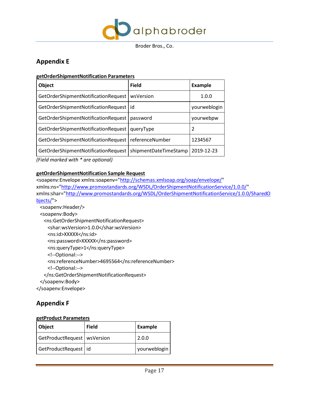

# <span id="page-16-0"></span>**Appendix E**

## **getOrderShipmentNotification Parameters**

| <b>Object</b>                                         | <b>Field</b>          | <b>Example</b> |
|-------------------------------------------------------|-----------------------|----------------|
| GetOrderShipmentNotificationRequest                   | wsVersion             | 1.0.0          |
| GetOrderShipmentNotificationRequest   id              |                       | yourweblogin   |
| GetOrderShipmentNotificationRequest                   | password              | yourwebpw      |
| GetOrderShipmentNotificationRequest                   | queryType             | 2              |
| GetOrderShipmentNotificationRequest   referenceNumber |                       | 1234567        |
| GetOrderShipmentNotificationRequest                   | shipmentDateTimeStamp | 2019-12-23     |

*(Field marked with \* are optional)*

## **getOrderShipmentNotification Sample Request**

<soapenv:Envelope xmlns:soapenv=["http://schemas.xmlsoap.org/soap/envelope/"](http://schemas.xmlsoap.org/soap/envelope/) xmlns:ns=["http://www.promostandards.org/WSDL/OrderShipmentNotificationService/1.0.0/"](http://www.promostandards.org/WSDL/OrderShipmentNotificationService/1.0.0/) xmlns:shar=["http://www.promostandards.org/WSDL/OrderShipmentNotificationService/1.0.0/SharedO](http://www.promostandards.org/WSDL/OrderShipmentNotificationService/1.0.0/SharedObjects/) [bjects/"](http://www.promostandards.org/WSDL/OrderShipmentNotificationService/1.0.0/SharedObjects/)> <soapenv:Header/>

```
 <soapenv:Body>
    <ns:GetOrderShipmentNotificationRequest>
     <shar:wsVersion>1.0.0</shar:wsVersion>
     <ns:id>XXXXX</ns:id>
     <ns:password>XXXXX</ns:password>
     <ns:queryType>1</ns:queryType>
     <!--Optional:-->
     <ns:referenceNumber>4695564</ns:referenceNumber>
     <!--Optional:-->
    </ns:GetOrderShipmentNotificationRequest>
  </soapenv:Body>
</soapenv:Envelope>
```
## <span id="page-16-1"></span>**Appendix F**

## **getProduct Parameters**

| Object                        | <b>Field</b> | Example      |
|-------------------------------|--------------|--------------|
| GetProductRequest   wsVersion |              | 2.0.0        |
| GetProductRequest id          |              | yourweblogin |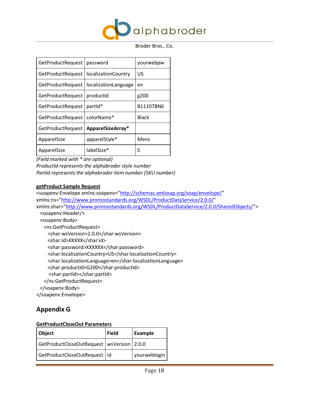

| <b>GetProductRequest</b> | password                    | yourwebpw    |
|--------------------------|-----------------------------|--------------|
| <b>GetProductRequest</b> | <i>localizationCountry</i>  | US           |
| <b>GetProductRequest</b> | <i>localizationLanguage</i> | en           |
| <b>GetProductRequest</b> | productId                   | g200         |
| GetProductRequest        | partid*                     | B11107BN6    |
| GetProductRequest        | colorName*                  | <b>Black</b> |
| <b>GetProductRequest</b> | ApparelSizeArray*           |              |
| ApparelSize              | apparelStyle*               | Mens         |
| ApparelSize              | labelSize*                  | S            |

*(Field marked with \* are optional)*

*ProductId represents the alphabroder style number PartId represents the alphabroder item number (SKU number)*

## **getProduct Sample Request**

<soapenv:Envelope xmlns:soapenv=["http://schemas.xmlsoap.org/soap/envelope/"](http://schemas.xmlsoap.org/soap/envelope/) xmlns:ns=["http://www.promostandards.org/WSDL/ProductDataService/2.0.0/"](http://www.promostandards.org/WSDL/ProductDataService/2.0.0/) xmlns:shar=["http://www.promostandards.org/WSDL/ProductDataService/2.0.0/SharedObjects/"](http://www.promostandards.org/WSDL/ProductDataService/2.0.0/SharedObjects/)> <soapenv:Header/> <soapenv:Body> <ns:GetProductRequest> <shar:wsVersion>2.0.0</shar:wsVersion> <shar:id>XXXXX</shar:id> <shar:password>XXXXXX</shar:password> <shar:localizationCountry>US</shar:localizationCountry> <shar:localizationLanguage>en</shar:localizationLanguage> <shar:productId>G200</shar:productId> <shar:partId></shar:partId> </ns:GetProductRequest> </soapenv:Body> </soapenv:Envelope>

# <span id="page-17-0"></span>**Appendix G**

## **GetProductCloseOut Parameters**

| Object                                        | <b>Field</b> | Example      |
|-----------------------------------------------|--------------|--------------|
| GetProductCloseOutRequest   wsVersion   2.0.0 |              |              |
| GetProductCloseOutRequest   id                |              | yourweblogin |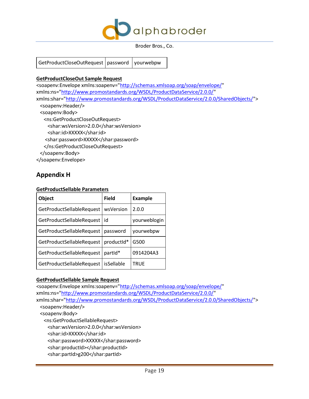

GetProductCloseOutRequest | password | yourwebpw

## **GetProductCloseOut Sample Request**

```
<soapenv:Envelope xmlns:soapenv="http://schemas.xmlsoap.org/soap/envelope/" 
xmlns:ns="http://www.promostandards.org/WSDL/ProductDataService/2.0.0/" 
xmlns:shar="http://www.promostandards.org/WSDL/ProductDataService/2.0.0/SharedObjects/">
  <soapenv:Header/>
  <soapenv:Body>
    <ns:GetProductCloseOutRequest>
     <shar:wsVersion>2.0.0</shar:wsVersion>
    <shar:id>XXXXX</shar:id>
    <shar:password>XXXXX</shar:password>
    </ns:GetProductCloseOutRequest>
  </soapenv:Body>
```
<span id="page-18-0"></span></soapenv:Envelope>

## **Appendix H**

## **GetProductSellable Parameters**

| <b>Object</b>             | Field      | <b>Example</b> |
|---------------------------|------------|----------------|
| GetProductSellableRequest | wsVersion  | 2.0.0          |
| GetProductSellableRequest | id         | yourweblogin   |
| GetProductSellableRequest | password   | yourwebpw      |
| GetProductSellableRequest | productid* | G500           |
| GetProductSellableRequest | partId*    | 0914204A3      |
| GetProductSellableRequest | isSellable | <b>TRUE</b>    |

## **GetProductSellable Sample Request**

```
<soapenv:Envelope xmlns:soapenv="http://schemas.xmlsoap.org/soap/envelope/" 
xmlns:ns="http://www.promostandards.org/WSDL/ProductDataService/2.0.0/" 
xmlns:shar="http://www.promostandards.org/WSDL/ProductDataService/2.0.0/SharedObjects/">
  <soapenv:Header/>
  <soapenv:Body>
    <ns:GetProductSellableRequest>
     <shar:wsVersion>2.0.0</shar:wsVersion>
     <shar:id>XXXXX</shar:id> 
    <shar:password>XXXXX</shar:password>
     <shar:productId></shar:productId>
     <shar:partId>g200</shar:partId>
```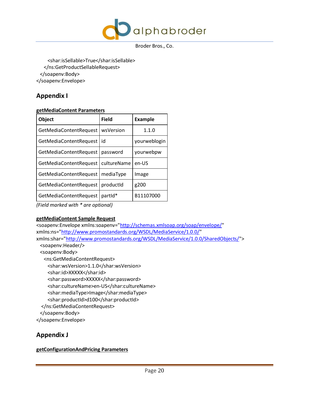

 <shar:isSellable>True</shar:isSellable> </ns:GetProductSellableRequest> </soapenv:Body> </soapenv:Envelope>

# <span id="page-19-0"></span>**Appendix I**

## **getMediaContent Parameters**

| Field       | <b>Example</b> |
|-------------|----------------|
| wsVersion   | 1.1.0          |
| id          | yourweblogin   |
| password    | yourwebpw      |
| cultureName | en-US          |
| mediaType   | Image          |
| productid   | g200           |
| partid*     | B11107000      |
|             |                |

*(Field marked with \* are optional)*

## **getMediaContent Sample Request**

```
"http://schemas.xmlsoap.org/soap/envelope/"
xmlns:ns="http://www.promostandards.org/WSDL/MediaService/1.0.0/" 
xmlns:shar="http://www.promostandards.org/WSDL/MediaService/1.0.0/SharedObjects/">
  <soapenv:Header/>
  <soapenv:Body>
   <ns:GetMediaContentRequest>
     <shar:wsVersion>1.1.0</shar:wsVersion>
     <shar:id>XXXXX</shar:id>
    <shar:password>XXXXX</shar:password>
     <shar:cultureName>en-US</shar:cultureName>
     <shar:mediaType>Image</shar:mediaType>
     <shar:productId>d100</shar:productId>
  </ns:GetMediaContentRequest>
  </soapenv:Body>
</soapenv:Envelope>
```
# <span id="page-19-1"></span>**Appendix J**

## **getConfigurationAndPricing Parameters**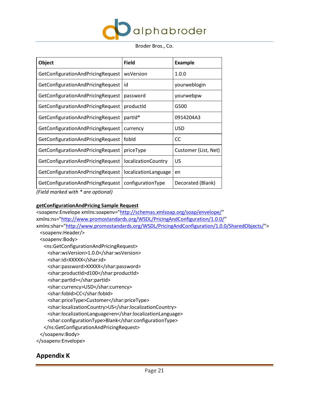

| <b>Object</b>                     | <b>Field</b>               | <b>Example</b>       |
|-----------------------------------|----------------------------|----------------------|
| GetConfigurationAndPricingRequest | wsVersion                  | 1.0.0                |
| GetConfigurationAndPricingRequest | id                         | yourweblogin         |
| GetConfigurationAndPricingRequest | password                   | yourwebpw            |
| GetConfigurationAndPricingRequest | productid                  | G500                 |
| GetConfigurationAndPricingRequest | partId*                    | 0914204A3            |
| GetConfigurationAndPricingRequest | currency                   | <b>USD</b>           |
| GetConfigurationAndPricingRequest | fobld                      | <b>CC</b>            |
| GetConfigurationAndPricingRequest | priceType                  | Customer (List, Net) |
| GetConfigurationAndPricingRequest | <i>localizationCountry</i> | US                   |
| GetConfigurationAndPricingRequest | localizationLanguage       | en                   |
| GetConfigurationAndPricingRequest | configurationType          | Decorated (Blank)    |

*(Field marked with \* are optional)*

## **getConfigurationAndPricing Sample Request**

| <soapenv:envelope <="" th="" xmlns:soapenv="http://schemas.xmlsoap.org/soap/envelope/"></soapenv:envelope> |
|------------------------------------------------------------------------------------------------------------|
| xmlns:ns="http://www.promostandards.org/WSDL/PricingAndConfiguration/1.0.0/"                               |
| xmlns:shar="http://www.promostandards.org/WSDL/PricingAndConfiguration/1.0.0/SharedObjects/">              |
| <soapenv:header></soapenv:header>                                                                          |
| <soapenv:body></soapenv:body>                                                                              |
| <ns:getconfigurationandpricingrequest></ns:getconfigurationandpricingrequest>                              |
| <shar:wsversion>1.0.0</shar:wsversion>                                                                     |
| <shar:id>XXXXX</shar:id>                                                                                   |
| <shar:password>XXXXX</shar:password>                                                                       |
| <shar:productid>d100</shar:productid>                                                                      |
| <shar:partid></shar:partid>                                                                                |
| <shar:currency>USD</shar:currency>                                                                         |
| <shar:fobid>CC</shar:fobid>                                                                                |
| <shar:pricetype>Customer</shar:pricetype>                                                                  |
| <shar:localizationcountry>US</shar:localizationcountry>                                                    |
| <shar:localizationlanguage>en</shar:localizationlanguage>                                                  |
| <shar:configurationtype>Blank</shar:configurationtype>                                                     |
|                                                                                                            |
|                                                                                                            |
|                                                                                                            |
|                                                                                                            |

# <span id="page-20-0"></span>**Appendix K**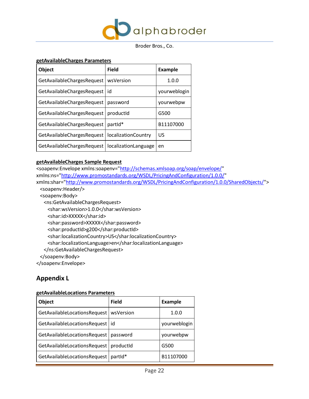

#### **getAvailableCharges Parameters**

| <b>Object</b>                     | <b>Field</b>                | <b>Example</b> |
|-----------------------------------|-----------------------------|----------------|
| <b>GetAvailableChargesRequest</b> | wsVersion                   | 1.0.0          |
| GetAvailableChargesRequest        | id                          | yourweblogin   |
| GetAvailableChargesRequest        | password                    | yourwebpw      |
| GetAvailableChargesRequest        | productid                   | G500           |
| GetAvailableChargesRequest        | partid*                     | B11107000      |
| <b>GetAvailableChargesRequest</b> | localizationCountry         | US             |
| GetAvailableChargesRequest        | <i>localizationLanguage</i> | en             |

## **getAvailableCharges Sample Request**

<soapenv:Envelope xmlns:soapenv=["http://schemas.xmlsoap.org/soap/envelope/"](http://schemas.xmlsoap.org/soap/envelope/) xmlns:ns=["http://www.promostandards.org/WSDL/PricingAndConfiguration/1.0.0/"](http://www.promostandards.org/WSDL/PricingAndConfiguration/1.0.0/) xmlns:shar=["http://www.promostandards.org/WSDL/PricingAndConfiguration/1.0.0/SharedObjects/"](http://www.promostandards.org/WSDL/PricingAndConfiguration/1.0.0/SharedObjects/)> <soapenv:Header/> <soapenv:Body> <ns:GetAvailableChargesRequest> <shar:wsVersion>1.0.0</shar:wsVersion> <shar:id>XXXXX</shar:id> <shar:password>XXXXX</shar:password> <shar:productId>g200</shar:productId> <shar:localizationCountry>US</shar:localizationCountry> <shar:localizationLanguage>en</shar:localizationLanguage> </ns:GetAvailableChargesRequest> </soapenv:Body> </soapenv:Envelope>

## <span id="page-21-0"></span>**Appendix L**

| <b>Object</b>                           | <b>Field</b>        | <b>Example</b> |
|-----------------------------------------|---------------------|----------------|
| GetAvailableLocationsRequest            | wsVersion           | 1.0.0          |
| GetAvailableLocationsRequest   id       |                     | yourweblogin   |
| GetAvailableLocationsRequest   password |                     | yourwebpw      |
| GetAvailableLocationsRequest            | productid           | G500           |
| GetAvailableLocationsRequest            | partid <sup>*</sup> | B11107000      |

#### **getAvailableLocations Parameters**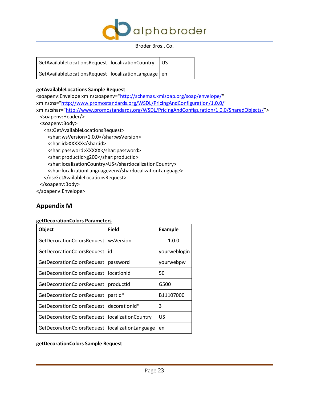

| GetAvailableLocationsRequest   localizationCountry $\ $ US |  |
|------------------------------------------------------------|--|
| GetAvailableLocationsRequest   localizationLanguage   en   |  |

## **getAvailableLocations Sample Request**

<soapenv:Envelope xmlns:soapenv=["http://schemas.xmlsoap.org/soap/envelope/"](http://schemas.xmlsoap.org/soap/envelope/) xmlns:ns=["http://www.promostandards.org/WSDL/PricingAndConfiguration/1.0.0/"](http://www.promostandards.org/WSDL/PricingAndConfiguration/1.0.0/) xmlns:shar=["http://www.promostandards.org/WSDL/PricingAndConfiguration/1.0.0/SharedObjects/"](http://www.promostandards.org/WSDL/PricingAndConfiguration/1.0.0/SharedObjects/)> <soapenv:Header/> <soapenv:Body> <ns:GetAvailableLocationsRequest> <shar:wsVersion>1.0.0</shar:wsVersion> <shar:id>XXXXX</shar:id> <shar:password>XXXXX</shar:password> <shar:productId>g200</shar:productId> <shar:localizationCountry>US</shar:localizationCountry> <shar:localizationLanguage>en</shar:localizationLanguage> </ns:GetAvailableLocationsRequest> </soapenv:Body> </soapenv:Envelope>

## <span id="page-22-0"></span>**Appendix M**

## **getDecorationColors Parameters**

| <b>Object</b>              | <b>Field</b>         | <b>Example</b> |
|----------------------------|----------------------|----------------|
| GetDecorationColorsRequest | wsVersion            | 1.0.0          |
| GetDecorationColorsRequest | id                   | yourweblogin   |
| GetDecorationColorsRequest | password             | yourwebpw      |
| GetDecorationColorsRequest | locationId           | 50             |
| GetDecorationColorsRequest | productid            | G500           |
| GetDecorationColorsRequest | partid*              | B11107000      |
| GetDecorationColorsRequest | decorationId*        | 3              |
| GetDecorationColorsRequest | localizationCountry  | US             |
| GetDecorationColorsRequest | localizationLanguage | en             |

## **getDecorationColors Sample Request**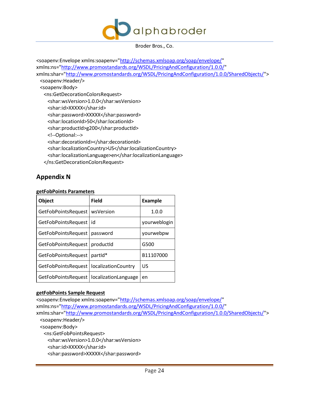

<soapenv:Envelope xmlns:soapenv=["http://schemas.xmlsoap.org/soap/envelope/"](http://schemas.xmlsoap.org/soap/envelope/) xmlns:ns=["http://www.promostandards.org/WSDL/PricingAndConfiguration/1.0.0/"](http://www.promostandards.org/WSDL/PricingAndConfiguration/1.0.0/) xmlns:shar=["http://www.promostandards.org/WSDL/PricingAndConfiguration/1.0.0/SharedObjects/"](http://www.promostandards.org/WSDL/PricingAndConfiguration/1.0.0/SharedObjects/)> <soapenv:Header/> <soapenv:Body> <ns:GetDecorationColorsRequest> <shar:wsVersion>1.0.0</shar:wsVersion> <shar:id>XXXXX</shar:id> <shar:password>XXXXX</shar:password> <shar:locationId>50</shar:locationId> <shar:productId>g200</shar:productId> <!--Optional:--> <shar:decorationId></shar:decorationId> <shar:localizationCountry>US</shar:localizationCountry> <shar:localizationLanguage>en</shar:localizationLanguage> </ns:GetDecorationColorsRequest>

## <span id="page-23-0"></span>**Appendix N**

## **getFobPoints Parameters**

| <b>Object</b>              | Field                | <b>Example</b> |
|----------------------------|----------------------|----------------|
| <b>GetFobPointsRequest</b> | wsVersion            | 1.0.0          |
| GetFobPointsRequest   id   |                      | yourweblogin   |
| <b>GetFobPointsRequest</b> | password             | yourwebpw      |
| <b>GetFobPointsRequest</b> | productId            | G500           |
| <b>GetFobPointsRequest</b> | partid*              | B11107000      |
| GetFobPointsRequest        | localizationCountry  | US             |
| <b>GetFobPointsRequest</b> | localizationLanguage | en             |

## **getFobPoints Sample Request**

<soapenv:Envelope xmlns:soapenv=["http://schemas.xmlsoap.org/soap/envelope/"](http://schemas.xmlsoap.org/soap/envelope/) xmlns:ns=["http://www.promostandards.org/WSDL/PricingAndConfiguration/1.0.0/"](http://www.promostandards.org/WSDL/PricingAndConfiguration/1.0.0/) xmlns:shar=["http://www.promostandards.org/WSDL/PricingAndConfiguration/1.0.0/SharedObjects/"](http://www.promostandards.org/WSDL/PricingAndConfiguration/1.0.0/SharedObjects/)> <soapenv:Header/> <soapenv:Body> <ns:GetFobPointsRequest> <shar:wsVersion>1.0.0</shar:wsVersion> <shar:id>XXXXX</shar:id> <shar:password>XXXXX</shar:password>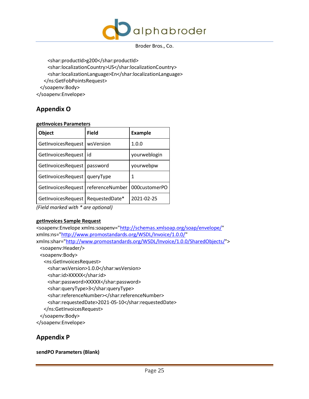

 <shar:productId>g200</shar:productId> <shar:localizationCountry>US</shar:localizationCountry> <shar:localizationLanguage>En</shar:localizationLanguage> </ns:GetFobPointsRequest> </soapenv:Body> </soapenv:Envelope>

# <span id="page-24-0"></span>**Appendix O**

## **getInvoices Parameters**

| yourweblogin  |
|---------------|
| yourwebpw     |
|               |
| 000customerPO |
| 2021-02-25    |
|               |

*(Field marked with \* are optional)*

## **getInvoices Sample Request**

```
<soapenv:Envelope xmlns:soapenv="http://schemas.xmlsoap.org/soap/envelope/" 
xmlns:ns="http://www.promostandards.org/WSDL/Invoice/1.0.0/" 
xmlns:shar="http://www.promostandards.org/WSDL/Invoice/1.0.0/SharedObjects/">
  <soapenv:Header/>
  <soapenv:Body>
   <ns:GetInvoicesRequest>
     <shar:wsVersion>1.0.0</shar:wsVersion>
     <shar:id>XXXXX</shar:id>
     <shar:password>XXXXX</shar:password>
     <shar:queryType>3</shar:queryType>
     <shar:referenceNumber></shar:referenceNumber>
     <shar:requestedDate>2021-05-10</shar:requestedDate>
    </ns:GetInvoicesRequest>
  </soapenv:Body>
</soapenv:Envelope>
```
## <span id="page-24-1"></span>**Appendix P**

**sendPO Parameters (Blank)**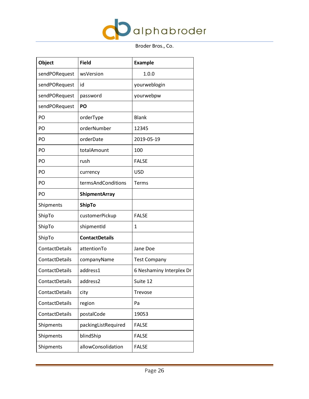

| <b>Object</b>  | <b>Field</b>          | <b>Example</b>           |
|----------------|-----------------------|--------------------------|
| sendPORequest  | wsVersion             | 1.0.0                    |
| sendPORequest  | id                    | yourweblogin             |
| sendPORequest  | password              | yourwebpw                |
| sendPORequest  | PO                    |                          |
| PO             | orderType             | <b>Blank</b>             |
| PO             | orderNumber           | 12345                    |
| PO             | orderDate             | 2019-05-19               |
| PO             | totalAmount           | 100                      |
| PO             | rush                  | <b>FALSE</b>             |
| PO             | currency              | <b>USD</b>               |
| PO             | termsAndConditions    | Terms                    |
| PO             | <b>ShipmentArray</b>  |                          |
| Shipments      | <b>ShipTo</b>         |                          |
| ShipTo         | customerPickup        | <b>FALSE</b>             |
| ShipTo         | shipmentId            | $\mathbf{1}$             |
| ShipTo         | <b>ContactDetails</b> |                          |
| ContactDetails | attentionTo           | Jane Doe                 |
| ContactDetails | companyName           | <b>Test Company</b>      |
| ContactDetails | address1              | 6 Neshaminy Interplex Dr |
| ContactDetails | address2              | Suite 12                 |
| ContactDetails | city                  | <b>Trevose</b>           |
| ContactDetails | region                | Pa                       |
| ContactDetails | postalCode            | 19053                    |
| Shipments      | packingListRequired   | <b>FALSE</b>             |
| Shipments      | blindShip             | <b>FALSE</b>             |
| Shipments      | allowConsolidation    | <b>FALSE</b>             |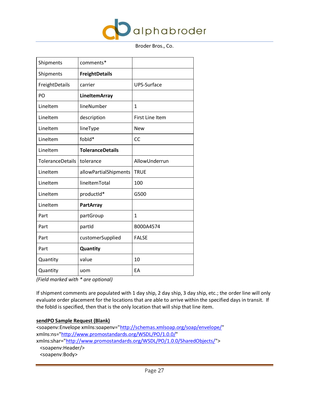

| Shipments               | comments*               |                        |
|-------------------------|-------------------------|------------------------|
| Shipments               | <b>FreightDetails</b>   |                        |
| FreightDetails          | carrier                 | UPS-Surface            |
| PO                      | LineItemArray           |                        |
| LineItem                | lineNumber              | $\mathbf{1}$           |
| LineItem                | description             | <b>First Line Item</b> |
| LineItem                | lineType                | <b>New</b>             |
| LineItem                | fobld*                  | CC                     |
| Lineltem                | <b>ToleranceDetails</b> |                        |
| <b>ToleranceDetails</b> | tolerance               | AllowUnderrun          |
| LineItem                | allowPartialShipments   | <b>TRUE</b>            |
| LineItem                | lineItemTotal           | 100                    |
| Lineltem                | productId*              | G500                   |
| Lineltem                | <b>PartArray</b>        |                        |
| Part                    | partGroup               | $\mathbf{1}$           |
| Part                    | partid                  | B000A4574              |
| Part                    | customerSupplied        | <b>FALSE</b>           |
| Part                    | Quantity                |                        |
| Quantity                | value                   | 10                     |
| Quantity                | uom                     | EA                     |

*(Field marked with \* are optional)*

If shipment comments are populated with 1 day ship, 2 day ship, 3 day ship, etc.; the order line will only evaluate order placement for the locations that are able to arrive within the specified days in transit. If the fobId is specified, then that is the only location that will ship that line item.

## **sendPO Sample Request (Blank)**

<soapenv:Envelope xmlns:soapenv=["http://schemas.xmlsoap.org/soap/envelope/"](http://schemas.xmlsoap.org/soap/envelope/) xmlns:ns=["http://www.promostandards.org/WSDL/PO/1.0.0/"](http://www.promostandards.org/WSDL/PO/1.0.0/) xmlns:shar=["http://www.promostandards.org/WSDL/PO/1.0.0/SharedObjects/"](http://www.promostandards.org/WSDL/PO/1.0.0/SharedObjects/)>

 <soapenv:Header/> <soapenv:Body>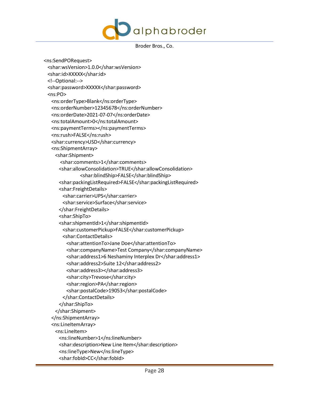

 <ns:SendPORequest> <shar:wsVersion>1.0.0</shar:wsVersion> <shar:id>XXXXX</shar:id> <!--Optional:--> <shar:password>XXXXX</shar:password>  $<sub>ns:PO</sub>$ </sub> <ns:orderType>Blank</ns:orderType> <ns:orderNumber>12345678</ns:orderNumber> <ns:orderDate>2021-07-07</ns:orderDate> <ns:totalAmount>0</ns:totalAmount> <ns:paymentTerms></ns:paymentTerms> <ns:rush>FALSE</ns:rush> <shar:currency>USD</shar:currency> <ns:ShipmentArray> <shar:Shipment> <shar:comments>1</shar:comments> <shar:allowConsolidation>TRUE</shar:allowConsolidation> <shar:blindShip>FALSE</shar:blindShip> <shar:packingListRequired>FALSE</shar:packingListRequired> <shar:FreightDetails> <shar:carrier>UPS</shar:carrier> <shar:service>Surface</shar:service> </shar:FreightDetails> <shar:ShipTo> <shar:shipmentId>1</shar:shipmentId> <shar:customerPickup>FALSE</shar:customerPickup> <shar:ContactDetails> <shar:attentionTo>Jane Doe</shar:attentionTo> <shar:companyName>Test Company</shar:companyName> <shar:address1>6 Neshaminy Interplex Dr</shar:address1> <shar:address2>Suite 12</shar:address2> <shar:address3></shar:address3> <shar:city>Trevose</shar:city> <shar:region>PA</shar:region> <shar:postalCode>19053</shar:postalCode> </shar:ContactDetails> </shar:ShipTo> </shar:Shipment> </ns:ShipmentArray> <ns:LineItemArray> <ns:LineItem> <ns:lineNumber>1</ns:lineNumber> <shar:description>New Line Item</shar:description> <ns:lineType>New</ns:lineType> <shar:fobId>CC</shar:fobId>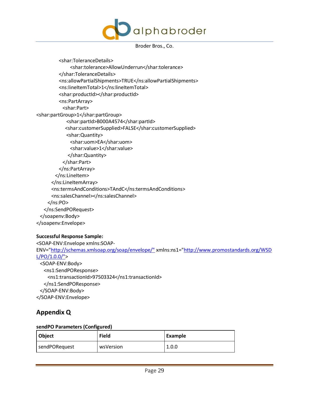

 <shar:ToleranceDetails> <shar:tolerance>AllowUnderrun</shar:tolerance> </shar:ToleranceDetails> <ns:allowPartialShipments>TRUE</ns:allowPartialShipments> <ns:lineItemTotal>1</ns:lineItemTotal> <shar:productId></shar:productId> <ns:PartArray> <shar:Part> <shar:partGroup>1</shar:partGroup> <shar:partId>B000A4574</shar:partId> <shar:customerSupplied>FALSE</shar:customerSupplied> <shar:Quantity> <shar:uom>EA</shar:uom> <shar:value>1</shar:value> </shar:Quantity> </shar:Part> </ns:PartArray> </ns:LineItem> </ns:LineItemArray> <ns:termsAndConditions>TAndC</ns:termsAndConditions> <ns:salesChannel></ns:salesChannel> </ns:PO> </ns:SendPORequest> </soapenv:Body> </soapenv:Envelope>

## **Successful Response Sample:**

<SOAP-ENV:Envelope xmlns:SOAP-ENV=["http://schemas.xmlsoap.org/soap/envelope/"](http://schemas.xmlsoap.org/soap/envelope/%22) xmlns:ns1=["http://www.promostandards.org/WSD](http://www.promostandards.org/WSDL/PO/1.0.0/%22)  $L/PO/1.0.0/"$  <SOAP-ENV:Body> <ns1:SendPOResponse> <ns1:transactionId>97503324</ns1:transactionId> </ns1:SendPOResponse> </SOAP-ENV:Body> </SOAP-ENV:Envelope>

## <span id="page-28-0"></span>**Appendix Q**

## **sendPO Parameters (Configured)**

| Object        | <b>Field</b> | Example |
|---------------|--------------|---------|
| sendPORequest | wsVersion    | 1.0.0   |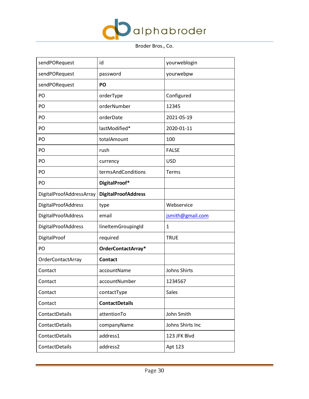

| sendPORequest            | id                         | yourweblogin        |
|--------------------------|----------------------------|---------------------|
| sendPORequest            | password                   | yourwebpw           |
| sendPORequest            | PO                         |                     |
| PO                       | orderType                  | Configured          |
| PO                       | orderNumber                | 12345               |
| PO                       | orderDate                  | 2021-05-19          |
| PO                       | lastModified*              | 2020-01-11          |
| PO                       | totalAmount                | 100                 |
| PO                       | rush                       | <b>FALSE</b>        |
| PO                       | currency                   | <b>USD</b>          |
| PO                       | termsAndConditions         | Terms               |
| PO                       | DigitalProof*              |                     |
| DigitalProofAddressArray | <b>DigitalProofAddress</b> |                     |
| DigitalProofAddress      | type                       | Webservice          |
| DigitalProofAddress      | email                      | jsmith@gmail.com    |
| DigitalProofAddress      | lineItemGroupingId         | $\mathbf{1}$        |
| DigitalProof             | required                   | <b>TRUE</b>         |
| PO                       | OrderContactArray*         |                     |
| <b>OrderContactArray</b> | <b>Contact</b>             |                     |
| Contact                  | accountName                | <b>Johns Shirts</b> |
| Contact                  | accountNumber              | 1234567             |
| Contact                  | contactType                | <b>Sales</b>        |
| Contact                  | <b>ContactDetails</b>      |                     |
| ContactDetails           | attentionTo                | John Smith          |
| ContactDetails           | companyName                | Johns Shirts Inc    |
| ContactDetails           | address1                   | 123 JFK Blvd        |
| ContactDetails           | address2                   | Apt 123             |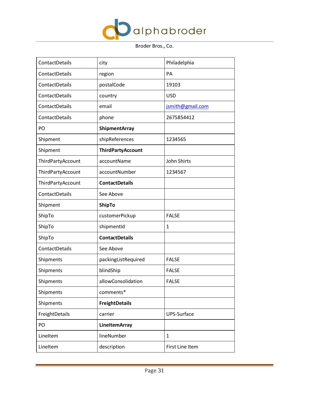

| ContactDetails    | city                     | Philadelphia       |
|-------------------|--------------------------|--------------------|
| ContactDetails    | region                   | PA                 |
| ContactDetails    | postalCode               | 19103              |
| ContactDetails    | country                  | <b>USD</b>         |
| ContactDetails    | email                    | jsmith@gmail.com   |
| ContactDetails    | phone                    | 2675854412         |
| PO                | <b>ShipmentArray</b>     |                    |
| Shipment          | shipReferences           | 1234565            |
| Shipment          | <b>ThirdPartyAccount</b> |                    |
| ThirdPartyAccount | accountName              | <b>John Shirts</b> |
| ThirdPartyAccount | accountNumber            | 1234567            |
| ThirdPartyAccount | <b>ContactDetails</b>    |                    |
| ContactDetails    | See Above                |                    |
| Shipment          | <b>ShipTo</b>            |                    |
| ShipTo            | customerPickup           | <b>FALSE</b>       |
| ShipTo            | shipmentId               | 1                  |
| ShipTo            | <b>ContactDetails</b>    |                    |
| ContactDetails    | See Above                |                    |
| Shipments         | packingListRequired      | <b>FALSE</b>       |
| Shipments         | blindShip                | <b>FALSE</b>       |
| Shipments         | allowConsolidation       | <b>FALSE</b>       |
| Shipments         | comments*                |                    |
| Shipments         | <b>FreightDetails</b>    |                    |
| FreightDetails    | carrier                  | UPS-Surface        |
| PO                | <b>LineItemArray</b>     |                    |
| LineItem          | lineNumber               | $\mathbf{1}$       |
| LineItem          | description              | First Line Item    |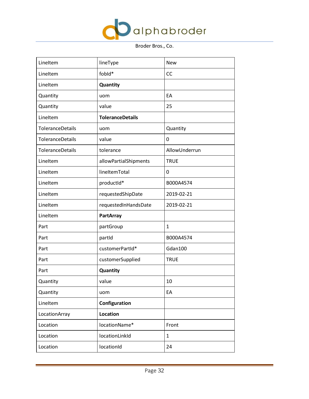

| LineItem         | lineType                | <b>New</b>    |
|------------------|-------------------------|---------------|
| LineItem         | fobld*                  | <b>CC</b>     |
| LineItem         | Quantity                |               |
| Quantity         | uom                     | EA            |
| Quantity         | value                   | 25            |
| LineItem         | <b>ToleranceDetails</b> |               |
| ToleranceDetails | uom                     | Quantity      |
| ToleranceDetails | value                   | 0             |
| ToleranceDetails | tolerance               | AllowUnderrun |
| LineItem         | allowPartialShipments   | <b>TRUE</b>   |
| LineItem         | lineItemTotal           | 0             |
| LineItem         | productId*              | B000A4574     |
| LineItem         | requestedShipDate       | 2019-02-21    |
| LineItem         | requestedInHandsDate    | 2019-02-21    |
| LineItem         | <b>PartArray</b>        |               |
| Part             | partGroup               | $\mathbf{1}$  |
| Part             | partId                  | B000A4574     |
| Part             | customerPartId*         | Gdan100       |
| Part             | customerSupplied        | <b>TRUE</b>   |
| Part             | Quantity                |               |
| Quantity         | value                   | 10            |
| Quantity         | uom                     | EA            |
| LineItem         | Configuration           |               |
| LocationArray    | Location                |               |
| Location         | locationName*           | Front         |
| Location         | locationLinkId          | $\mathbf{1}$  |
| Location         | locationId              | 24            |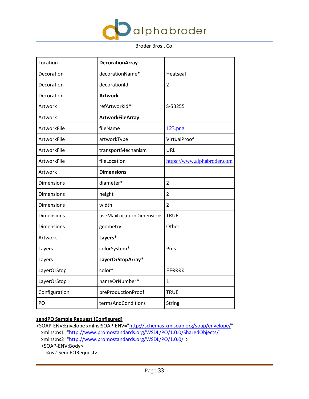

| Location          | <b>DecorationArray</b>   |                             |
|-------------------|--------------------------|-----------------------------|
| Decoration        | decorationName*          | Heatseal                    |
| Decoration        | decorationId             | 2                           |
| Decoration        | <b>Artwork</b>           |                             |
| Artwork           | refArtworkId*            | S-53255                     |
| Artwork           | <b>ArtworkFileArray</b>  |                             |
| ArtworkFile       | fileName                 | 123.png                     |
| ArtworkFile       | artworkType              | VirtualProof                |
| ArtworkFile       | transportMechanism       | URL                         |
| ArtworkFile       | fileLocation             | https://www.alphabroder.com |
| Artwork           | <b>Dimensions</b>        |                             |
| <b>Dimensions</b> | diameter*                | $\overline{2}$              |
| <b>Dimensions</b> | height                   | $\overline{2}$              |
| <b>Dimensions</b> | width                    | $\overline{2}$              |
| <b>Dimensions</b> | useMaxLocationDimensions | <b>TRUE</b>                 |
| <b>Dimensions</b> | geometry                 | Other                       |
| Artwork           | Layers*                  |                             |
| Layers            | colorSystem*             | Pms                         |
| Layers            | LayerOrStopArray*        |                             |
| LayerOrStop       | color*                   | FF0000                      |
| LayerOrStop       | nameOrNumber*            | 1                           |
| Configuration     | preProductionProof       | <b>TRUE</b>                 |
| PO                | termsAndConditions       | String                      |

## **sendPO Sample Request (Configured)**

<SOAP-ENV:Envelope xmlns:SOAP-ENV=["http://schemas.xmlsoap.org/soap/envelope/"](http://schemas.xmlsoap.org/soap/envelope/) xmlns:ns1=["http://www.promostandards.org/WSDL/PO/1.0.0/SharedObjects/"](http://www.promostandards.org/WSDL/PO/1.0.0/SharedObjects/) xmlns:ns2=["http://www.promostandards.org/WSDL/PO/1.0.0/"](http://www.promostandards.org/WSDL/PO/1.0.0/)> <SOAP-ENV:Body> <ns2:SendPORequest>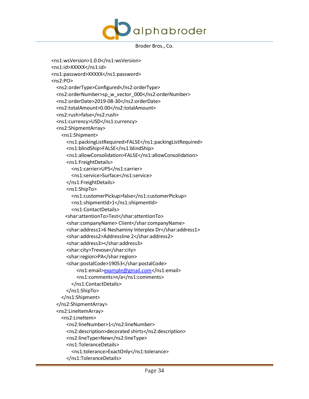

```
 <ns1:wsVersion>1.0.0</ns1:wsVersion>
 <ns1:id>XXXXX</ns1:id>
 <ns1:password>XXXXX</ns1:password>
 <ns2:PO>
   <ns2:orderType>Configured</ns2:orderType>
  <ns2:orderNumber>sp_w_vector_000</ns2:orderNumber>
   <ns2:orderDate>2019-08-30</ns2:orderDate>
   <ns2:totalAmount>0.00</ns2:totalAmount>
   <ns2:rush>false</ns2:rush>
   <ns1:currency>USD</ns1:currency>
   <ns2:ShipmentArray>
     <ns1:Shipment>
       <ns1:packingListRequired>FALSE</ns1:packingListRequired>
       <ns1:blindShip>FALSE</ns1:blindShip>
      <ns1:allowConsolidation>FALSE</ns1:allowConsolidation>
       <ns1:FreightDetails>
         <ns1:carrier>UPS</ns1:carrier>
         <ns1:service>Surface</ns1:service>
       </ns1:FreightDetails>
       <ns1:ShipTo>
         <ns1:customerPickup>false</ns1:customerPickup>
         <ns1:shipmentId>1</ns1:shipmentId>
         <ns1:ContactDetails>
      <shar:attentionTo>Test</shar:attentionTo>
       <shar:companyName> Client</shar:companyName>
       <shar:address1>6 Neshaminy Interplex Dr</shar:address1>
       <shar:address2>Addressline 2</shar:address2>
       <shar:address3></shar:address3>
      <shar:city>Trevose</shar:city>
       <shar:region>PA</shar:region>
      <shar:postalCode>19053</shar:postalCode>
           <ns1:email>example@gmail.com</ns1:email>
           <ns1:comments>n/a</ns1:comments>
         </ns1:ContactDetails>
       </ns1:ShipTo>
     </ns1:Shipment>
   </ns2:ShipmentArray>
   <ns2:LineItemArray>
     <ns2:LineItem>
       <ns2:lineNumber>1</ns2:lineNumber>
       <ns2:description>decorated shirts</ns2:description>
       <ns2:lineType>New</ns2:lineType>
       <ns1:ToleranceDetails>
         <ns1:tolerance>ExactOnly</ns1:tolerance>
       </ns1:ToleranceDetails>
```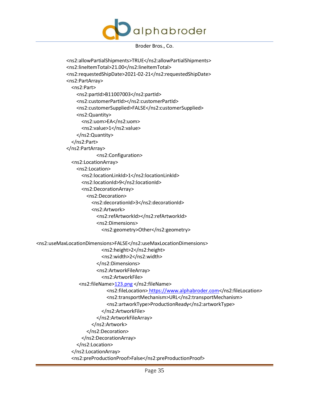

```
 <ns2:allowPartialShipments>TRUE</ns2:allowPartialShipments>
             <ns2:lineItemTotal>21.00</ns2:lineItemTotal>
             <ns2:requestedShipDate>2021-02-21</ns2:requestedShipDate>
             <ns2:PartArray>
               <ns2:Part>
                 <ns2:partId>B11007003</ns2:partId>
                 <ns2:customerPartId></ns2:customerPartId>
                 <ns2:customerSupplied>FALSE</ns2:customerSupplied>
                 <ns2:Quantity>
                  <ns2:uom>EA</ns2:uom>
                    <ns2:value>1</ns2:value>
                 </ns2:Quantity>
               </ns2:Part>
             </ns2:PartArray>
                          <ns2:Configuration>
               <ns2:LocationArray>
                 <ns2:Location>
                    <ns2:locationLinkId>1</ns2:locationLinkId>
                    <ns2:locationId>9</ns2:locationId>
                    <ns2:DecorationArray>
                      <ns2:Decoration>
                        <ns2:decorationId>3</ns2:decorationId>
                        <ns2:Artwork>
                          <ns2:refArtworkId></ns2:refArtworkId>
                         <ns2:Dimensions>
                            <ns2:geometry>Other</ns2:geometry>
<ns2:useMaxLocationDimensions>FALSE</ns2:useMaxLocationDimensions>
                            <ns2:height>2</ns2:height>
                           <ns2:width>2</ns2:width>
                          </ns2:Dimensions>
                         <ns2:ArtworkFileArray>
                            <ns2:ArtworkFile>
                  <ns2:fileName>123.png </ns2:fileName>
                             <ns2:fileLocation> https://www.alphabroder.com</ns2:fileLocation>
                              <ns2:transportMechanism>URL</ns2:transportMechanism>
                             <ns2:artworkType>ProductionReady</ns2:artworkType>
                            </ns2:ArtworkFile>
                          </ns2:ArtworkFileArray>
                        </ns2:Artwork>
                      </ns2:Decoration>
                    </ns2:DecorationArray>
                 </ns2:Location>
               </ns2:LocationArray>
               <ns2:preProductionProof>False</ns2:preProductionProof>
```